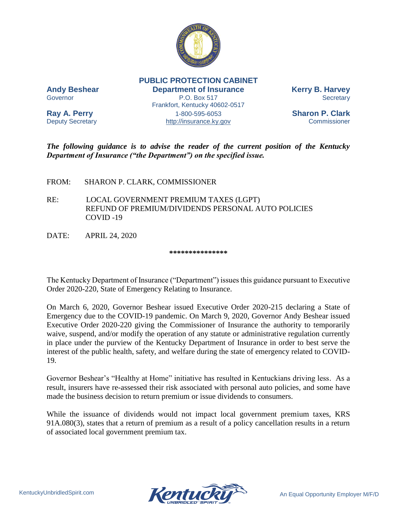

**PUBLIC PROTECTION CABINET Andy Beshear Department of Insurance Kerry B. Harvey** Governor **P.O. Box 517** Secretary Frankfort, Kentucky 40602-0517

**Ray A. Perry** 1-800-595-6053 **Sharon P. Clark** Deputy Secretary **Example 20** [http://insurance.ky.gov](http://insurance.ky.gov/) Commissioner

*The following guidance is to advise the reader of the current position of the Kentucky Department of Insurance ("the Department") on the specified issue.* 

FROM: SHARON P. CLARK, COMMISSIONER

- RE: LOCAL GOVERNMENT PREMIUM TAXES (LGPT) REFUND OF PREMIUM/DIVIDENDS PERSONAL AUTO POLICIES COVID -19
- DATE: APRIL 24, 2020

## **\*\*\*\*\*\*\*\*\*\*\*\*\*\*\***

The Kentucky Department of Insurance ("Department") issues this guidance pursuant to Executive Order 2020-220, State of Emergency Relating to Insurance.

On March 6, 2020, Governor Beshear issued Executive Order 2020-215 declaring a State of Emergency due to the COVID-19 pandemic. On March 9, 2020, Governor Andy Beshear issued Executive Order 2020-220 giving the Commissioner of Insurance the authority to temporarily waive, suspend, and/or modify the operation of any statute or administrative regulation currently in place under the purview of the Kentucky Department of Insurance in order to best serve the interest of the public health, safety, and welfare during the state of emergency related to COVID-19.

Governor Beshear's "Healthy at Home" initiative has resulted in Kentuckians driving less. As a result, insurers have re-assessed their risk associated with personal auto policies, and some have made the business decision to return premium or issue dividends to consumers.

While the issuance of dividends would not impact local government premium taxes, KRS 91A.080(3), states that a return of premium as a result of a policy cancellation results in a return of associated local government premium tax.